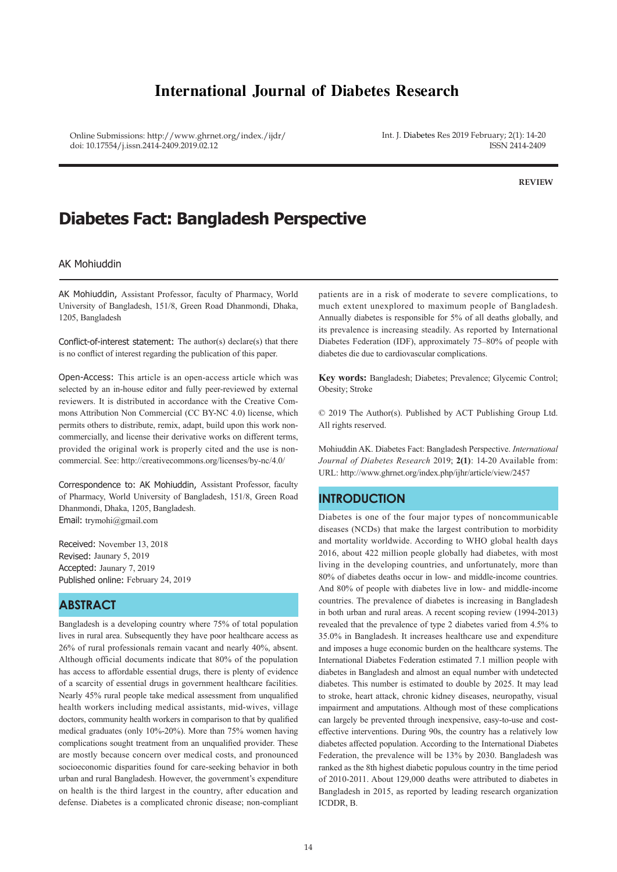# **International Journal of Diabetes Research**

Online Submissions: http://www.ghrnet.org/index./ijdr/ doi: 10.17554/j.issn.2414-2409.2019.02.12

Int. J. Diabetes Res 2019 February; 2(1): 14-20 ISSN 2414-2409

**REVIEW**

# **Diabetes Fact: Bangladesh Perspective**

### AK Mohiuddin

AK Mohiuddin, Assistant Professor, faculty of Pharmacy, World University of Bangladesh, 151/8, Green Road Dhanmondi, Dhaka, 1205, Bangladesh

Conflict-of-interest statement: The author(s) declare(s) that there is no conflict of interest regarding the publication of this paper.

Open-Access: This article is an open-access article which was selected by an in-house editor and fully peer-reviewed by external reviewers. It is distributed in accordance with the Creative Commons Attribution Non Commercial (CC BY-NC 4.0) license, which permits others to distribute, remix, adapt, build upon this work noncommercially, and license their derivative works on different terms, provided the original work is properly cited and the use is noncommercial. See: http://creativecommons.org/licenses/by-nc/4.0/

Correspondence to: AK Mohiuddin, Assistant Professor, faculty of Pharmacy, World University of Bangladesh, 151/8, Green Road Dhanmondi, Dhaka, 1205, Bangladesh. Email: trymohi@gmail.com

Received: November 13, 2018 Revised: Jaunary 5, 2019 Accepted: Jaunary 7, 2019 Published online: February 24, 2019

# **ABSTRACT**

Bangladesh is a developing country where 75% of total population lives in rural area. Subsequently they have poor healthcare access as 26% of rural professionals remain vacant and nearly 40%, absent. Although official documents indicate that 80% of the population has access to affordable essential drugs, there is plenty of evidence of a scarcity of essential drugs in government healthcare facilities. Nearly 45% rural people take medical assessment from unqualified health workers including medical assistants, mid-wives, village doctors, community health workers in comparison to that by qualified medical graduates (only 10%-20%). More than 75% women having complications sought treatment from an unqualified provider. These are mostly because concern over medical costs, and pronounced socioeconomic disparities found for care-seeking behavior in both urban and rural Bangladesh. However, the government's expenditure on health is the third largest in the country, after education and defense. Diabetes is a complicated chronic disease; non-compliant

patients are in a risk of moderate to severe complications, to much extent unexplored to maximum people of Bangladesh. Annually diabetes is responsible for 5% of all deaths globally, and its prevalence is increasing steadily. As reported by International Diabetes Federation (IDF), approximately 75–80% of people with diabetes die due to cardiovascular complications.

**Key words:** Bangladesh; Diabetes; Prevalence; Glycemic Control; Obesity; Stroke

© 2019 The Author(s). Published by ACT Publishing Group Ltd. All rights reserved.

Mohiuddin AK. Diabetes Fact: Bangladesh Perspective. *International Journal of Diabetes Research* 2019; **2(1)**: 14-20 Available from: URL: http://www.ghrnet.org/index.php/ijhr/article/view/2457

## **INTRODUCTION**

Diabetes is one of the four major types of noncommunicable diseases (NCDs) that make the largest contribution to morbidity and mortality worldwide. According to WHO global health days 2016, about 422 million people globally had diabetes, with most living in the developing countries, and unfortunately, more than 80% of diabetes deaths occur in low- and middle-income countries. And 80% of people with diabetes live in low- and middle-income countries. The prevalence of diabetes is increasing in Bangladesh in both urban and rural areas. A recent scoping review (1994-2013) revealed that the prevalence of type 2 diabetes varied from 4.5% to 35.0% in Bangladesh. It increases healthcare use and expenditure and imposes a huge economic burden on the healthcare systems. The International Diabetes Federation estimated 7.1 million people with diabetes in Bangladesh and almost an equal number with undetected diabetes. This number is estimated to double by 2025. It may lead to stroke, heart attack, chronic kidney diseases, neuropathy, visual impairment and amputations. Although most of these complications can largely be prevented through inexpensive, easy-to-use and costeffective interventions. During 90s, the country has a relatively low diabetes affected population. According to the International Diabetes Federation, the prevalence will be 13% by 2030. Bangladesh was ranked as the 8th highest diabetic populous country in the time period of 2010-2011. About 129,000 deaths were attributed to diabetes in Bangladesh in 2015, as reported by leading research organization ICDDR, B.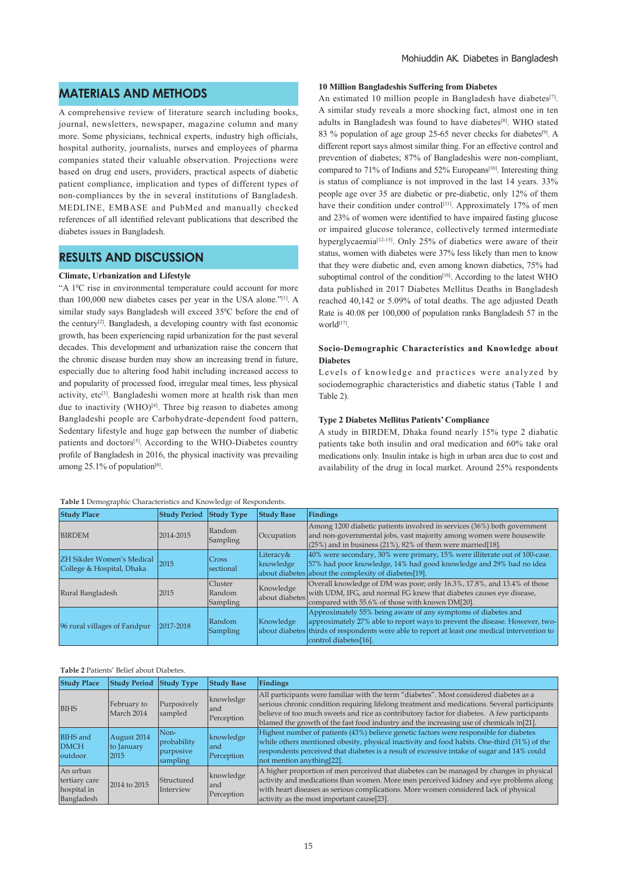# **MATERIALS AND METHODS**

A comprehensive review of literature search including books, journal, newsletters, newspaper, magazine column and many more. Some physicians, technical experts, industry high officials, hospital authority, journalists, nurses and employees of pharma companies stated their valuable observation. Projections were based on drug end users, providers, practical aspects of diabetic patient compliance, implication and types of different types of non-compliances by the in several institutions of Bangladesh. MEDLINE, EMBASE and PubMed and manually checked references of all identified relevant publications that described the diabetes issues in Bangladesh.

## **RESULTS AND DISCUSSION**

#### **Climate, Urbanization and Lifestyle**

"A  $1^{\circ}$ C rise in environmental temperature could account for more than 100,000 new diabetes cases per year in the USA alone."[1]. A similar study says Bangladesh will exceed 35°C before the end of the century<sup>[2]</sup>. Bangladesh, a developing country with fast economic growth, has been experiencing rapid urbanization for the past several decades. This development and urbanization raise the concern that the chronic disease burden may show an increasing trend in future, especially due to altering food habit including increased access to and popularity of processed food, irregular meal times, less physical activity, etc[3]. Bangladeshi women more at health risk than men due to inactivity (WHO) $[4]$ . Three big reason to diabetes among Bangladeshi people are Carbohydrate-dependent food pattern, Sedentary lifestyle and huge gap between the number of diabetic patients and doctors<sup>[5]</sup>. According to the WHO-Diabetes country profile of Bangladesh in 2016, the physical inactivity was prevailing among 25.1% of population $[6]$ .

#### **Table 1** Demographic Characteristics and Knowledge of Respondents.

#### **10 Million Bangladeshis Suffering from Diabetes**

An estimated 10 million people in Bangladesh have diabetes $[7]$ . A similar study reveals a more shocking fact, almost one in ten adults in Bangladesh was found to have diabetes<sup>[8]</sup>. WHO stated 83 % population of age group 25-65 never checks for diabetes<sup>[9]</sup>. A different report says almost similar thing. For an effective control and prevention of diabetes; 87% of Bangladeshis were non-compliant, compared to 71% of Indians and 52% Europeans<sup>[10]</sup>. Interesting thing is status of compliance is not improved in the last 14 years. 33% people age over 35 are diabetic or pre-diabetic, only 12% of them have their condition under control<sup>[11]</sup>. Approximately 17% of men and 23% of women were identified to have impaired fasting glucose or impaired glucose tolerance, collectively termed intermediate hyperglycaemia<sup>[12-15]</sup>. Only 25% of diabetics were aware of their status, women with diabetes were 37% less likely than men to know that they were diabetic and, even among known diabetics, 75% had suboptimal control of the condition<sup>[16]</sup>. According to the latest WHO data published in 2017 Diabetes Mellitus Deaths in Bangladesh reached 40,142 or 5.09% of total deaths. The age adjusted Death Rate is 40.08 per 100,000 of population ranks Bangladesh 57 in the world<sup>[17]</sup>.

### **Socio-Demographic Characteristics and Knowledge about Diabetes**

Levels of knowledge and practices were analyzed by sociodemographic characteristics and diabetic status (Table 1 and Table 2).

#### **Type 2 Diabetes Mellitus Patients' Compliance**

A study in BIRDEM, Dhaka found nearly 15% type 2 diabatic patients take both insulin and oral medication and 60% take oral medications only. Insulin intake is high in urban area due to cost and availability of the drug in local market. Around 25% respondents

| <b>Study Place</b>                                            | <b>Study Period</b> | <b>Study Type</b>                           | <b>Study Base</b>           | Findings                                                                                                                                                                                                                                                               |
|---------------------------------------------------------------|---------------------|---------------------------------------------|-----------------------------|------------------------------------------------------------------------------------------------------------------------------------------------------------------------------------------------------------------------------------------------------------------------|
| <b>BIRDEM</b>                                                 | 2014-2015           | Random<br>Sampling                          | Occupation                  | Among 1200 diabetic patients involved in services (36%) both government<br>and non-governmental jobs, vast majority among women were housewife<br>$(25%)$ and in business (21%), 82% of them were married [18].                                                        |
| <b>ZH Sikder Women's Medical</b><br>College & Hospital, Dhaka | 2015                | <b>Cross</b><br>sectional                   | Literacy&<br>knowledge      | 40% were secondary, 30% were primary, 15% were illiterate out of 100-case.<br>57% had poor knowledge, 14% had good knowledge and 29% had no idea<br>about diabetes about the complexity of diabetes[19].                                                               |
| Rural Bangladesh                                              | 2015                | <b>Cluster</b><br>Random<br><b>Sampling</b> | Knowledge<br>about diabetes | Overall knowledge of DM was poor; only 16.3%, 17.8%, and 13.4% of those<br>with UDM, IFG, and normal FG knew that diabetes causes eye disease,<br>compared with 55.6% of those with known DM[20].                                                                      |
| 96 rural villages of Faridpur                                 | 2017-2018           | Random<br>Sampling                          | Knowledge                   | Approximately 55% being aware of any symptoms of diabetes and<br>approximately 27% able to report ways to prevent the disease. However, two-<br>about diabetes thirds of respondents were able to report at least one medical intervention to<br>control diabetes[16]. |

#### **Table 2** Patients' Belief about Diabetes.

| <b>Study Place</b>                                     | <b>Study Period</b>               | <b>Study Type</b>                            | <b>Study Base</b>               | Findings                                                                                                                                                                                                                                                                                                                                                                         |
|--------------------------------------------------------|-----------------------------------|----------------------------------------------|---------------------------------|----------------------------------------------------------------------------------------------------------------------------------------------------------------------------------------------------------------------------------------------------------------------------------------------------------------------------------------------------------------------------------|
| <b>BIHS</b>                                            | February to<br>March 2014         | Purposively<br>sampled                       | knowledge<br>land<br>Perception | All participants were familiar with the term "diabetes". Most considered diabetes as a<br>serious chronic condition requiring lifelong treatment and medications. Several participants<br>believe of too much sweets and rice as contributory factor for diabetes. A few participants<br>blamed the growth of the fast food industry and the increasing use of chemicals in[21]. |
| <b>BIHS</b> and<br><b>DMCH</b><br>outdoor              | August 2014<br>to January<br>2015 | Non-<br>probability<br>purposive<br>sampling | knowledge<br>land<br>Perception | Highest number of patients (43%) believe genetic factors were responsible for diabetes<br>while others mentioned obesity, physical inactivity and food habits. One-third (31%) of the<br>respondents perceived that diabetes is a result of excessive intake of sugar and 14% could<br>not mention anything[22].                                                                 |
| An urban<br>tertiary care<br>hospital in<br>Bangladesh | 2014 to 2015                      | Structured<br>Interview                      | knowledge<br>land<br>Perception | A higher proportion of men perceived that diabetes can be managed by changes in physical<br>activity and medications than women. More men perceived kidney and eye problems along<br>with heart diseases as serious complications. More women considered lack of physical<br>activity as the most important cause[23].                                                           |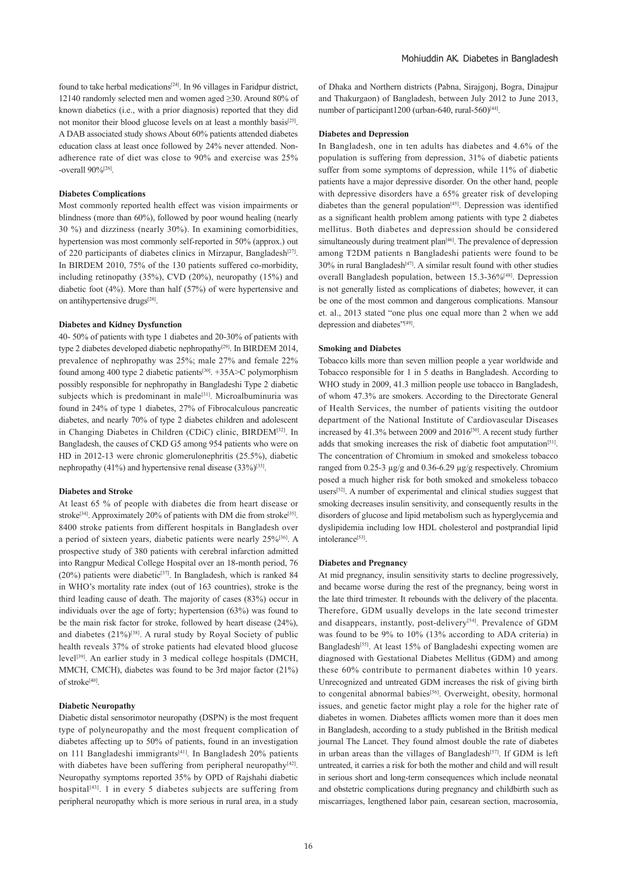found to take herbal medications<sup>[24]</sup>. In 96 villages in Faridpur district, 12140 randomly selected men and women aged ≥30. Around 80% of known diabetics (i.e., with a prior diagnosis) reported that they did not monitor their blood glucose levels on at least a monthly basis<sup>[25]</sup>. A DAB associated study shows About 60% patients attended diabetes education class at least once followed by 24% never attended. Nonadherence rate of diet was close to 90% and exercise was 25% -overall 90%[26].

#### **Diabetes Complications**

Most commonly reported health effect was vision impairments or blindness (more than 60%), followed by poor wound healing (nearly 30 %) and dizziness (nearly 30%). In examining comorbidities, hypertension was most commonly self-reported in 50% (approx.) out of 220 participants of diabetes clinics in Mirzapur, Bangladesh<sup>[27]</sup>. In BIRDEM 2010, 75% of the 130 patients suffered co-morbidity, including retinopathy (35%), CVD (20%), neuropathy (15%) and diabetic foot (4%). More than half (57%) of were hypertensive and on antihypertensive drugs[28].

#### **Diabetes and Kidney Dysfunction**

40- 50% of patients with type 1 diabetes and 20-30% of patients with type 2 diabetes developed diabetic nephropathy<sup>[29]</sup>. In BIRDEM 2014, prevalence of nephropathy was 25%; male 27% and female 22% found among 400 type 2 diabetic patients<sup>[30]</sup>.  $+35A>$ C polymorphism possibly responsible for nephropathy in Bangladeshi Type 2 diabetic subjects which is predominant in male<sup>[31]</sup>. Microalbuminuria was found in 24% of type 1 diabetes, 27% of Fibrocalculous pancreatic diabetes, and nearly 70% of type 2 diabetes children and adolescent in Changing Diabetes in Children (CDiC) clinic, BIRDEM[32]. In Bangladesh, the causes of CKD G5 among 954 patients who were on HD in 2012-13 were chronic glomerulonephritis (25.5%), diabetic nephropathy (41%) and hypertensive renal disease  $(33\%)^{[33]}$ .

#### **Diabetes and Stroke**

At least 65 % of people with diabetes die from heart disease or stroke<sup>[34]</sup>. Approximately 20% of patients with DM die from stroke<sup>[35]</sup>. 8400 stroke patients from different hospitals in Bangladesh over a period of sixteen years, diabetic patients were nearly 25%[36]. A prospective study of 380 patients with cerebral infarction admitted into Rangpur Medical College Hospital over an 18-month period, 76 (20%) patients were diabetic<sup>[37]</sup>. In Bangladesh, which is ranked 84 in WHO's mortality rate index (out of 163 countries), stroke is the third leading cause of death. The majority of cases (83%) occur in individuals over the age of forty; hypertension (63%) was found to be the main risk factor for stroke, followed by heart disease (24%), and diabetes  $(21\%)^{[38]}$ . A rural study by Royal Society of public health reveals 37% of stroke patients had elevated blood glucose level<sup>[39]</sup>. An earlier study in 3 medical college hospitals (DMCH, MMCH, CMCH), diabetes was found to be 3rd major factor (21%) of stroke<sup>[40]</sup>.

#### **Diabetic Neuropathy**

Diabetic distal sensorimotor neuropathy (DSPN) is the most frequent type of polyneuropathy and the most frequent complication of diabetes affecting up to 50% of patients, found in an investigation on 111 Bangladeshi immigrants<sup>[41]</sup>. In Bangladesh 20% patients with diabetes have been suffering from peripheral neuropathy<sup>[42]</sup>. Neuropathy symptoms reported 35% by OPD of Rajshahi diabetic hospital<sup>[43]</sup>. 1 in every 5 diabetes subjects are suffering from peripheral neuropathy which is more serious in rural area, in a study

of Dhaka and Northern districts (Pabna, Sirajgonj, Bogra, Dinajpur and Thakurgaon) of Bangladesh, between July 2012 to June 2013, number of participant1200 (urban-640, rural-560)<sup>[44]</sup>.

### **Diabetes and Depression**

In Bangladesh, one in ten adults has diabetes and 4.6% of the population is suffering from depression, 31% of diabetic patients suffer from some symptoms of depression, while 11% of diabetic patients have a major depressive disorder. On the other hand, people with depressive disorders have a 65% greater risk of developing diabetes than the general population<sup>[45]</sup>. Depression was identified as a significant health problem among patients with type 2 diabetes mellitus. Both diabetes and depression should be considered simultaneously during treatment plan<sup>[46]</sup>. The prevalence of depression among T2DM patients n Bangladeshi patients were found to be  $30\%$  in rural Bangladesh<sup>[47]</sup>. A similar result found with other studies overall Bangladesh population, between 15.3-36%<sup>[48]</sup>. Depression is not generally listed as complications of diabetes; however, it can be one of the most common and dangerous complications. Mansour et. al., 2013 stated "one plus one equal more than 2 when we add depression and diabetes"[49].

### **Smoking and Diabetes**

Tobacco kills more than seven million people a year worldwide and Tobacco responsible for 1 in 5 deaths in Bangladesh. According to WHO study in 2009, 41.3 million people use tobacco in Bangladesh, of whom 47.3% are smokers. According to the Directorate General of Health Services, the number of patients visiting the outdoor department of the National Institute of Cardiovascular Diseases increased by 41.3% between 2009 and 2016<sup>[50]</sup>. A recent study further adds that smoking increases the risk of diabetic foot amputation<sup>[51]</sup>. The concentration of Chromium in smoked and smokeless tobacco ranged from 0.25-3 µg/g and 0.36-6.29 µg/g respectively. Chromium posed a much higher risk for both smoked and smokeless tobacco users[52]. A number of experimental and clinical studies suggest that smoking decreases insulin sensitivity, and consequently results in the disorders of glucose and lipid metabolism such as hyperglycemia and dyslipidemia including low HDL cholesterol and postprandial lipid intolerance[53].

#### **Diabetes and Pregnancy**

At mid pregnancy, insulin sensitivity starts to decline progressively, and became worse during the rest of the pregnancy, being worst in the late third trimester. It rebounds with the delivery of the placenta. Therefore, GDM usually develops in the late second trimester and disappears, instantly, post-delivery<sup>[54]</sup>. Prevalence of GDM was found to be 9% to 10% (13% according to ADA criteria) in Bangladesh<sup>[55]</sup>. At least 15% of Bangladeshi expecting women are diagnosed with Gestational Diabetes Mellitus (GDM) and among these 60% contribute to permanent diabetes within 10 years. Unrecognized and untreated GDM increases the risk of giving birth to congenital abnormal babies<sup>[56]</sup>. Overweight, obesity, hormonal issues, and genetic factor might play a role for the higher rate of diabetes in women. Diabetes afflicts women more than it does men in Bangladesh, according to a study published in the British medical journal The Lancet. They found almost double the rate of diabetes in urban areas than the villages of Bangladesh<sup>[57]</sup>. If GDM is left untreated, it carries a risk for both the mother and child and will result in serious short and long-term consequences which include neonatal and obstetric complications during pregnancy and childbirth such as miscarriages, lengthened labor pain, cesarean section, macrosomia,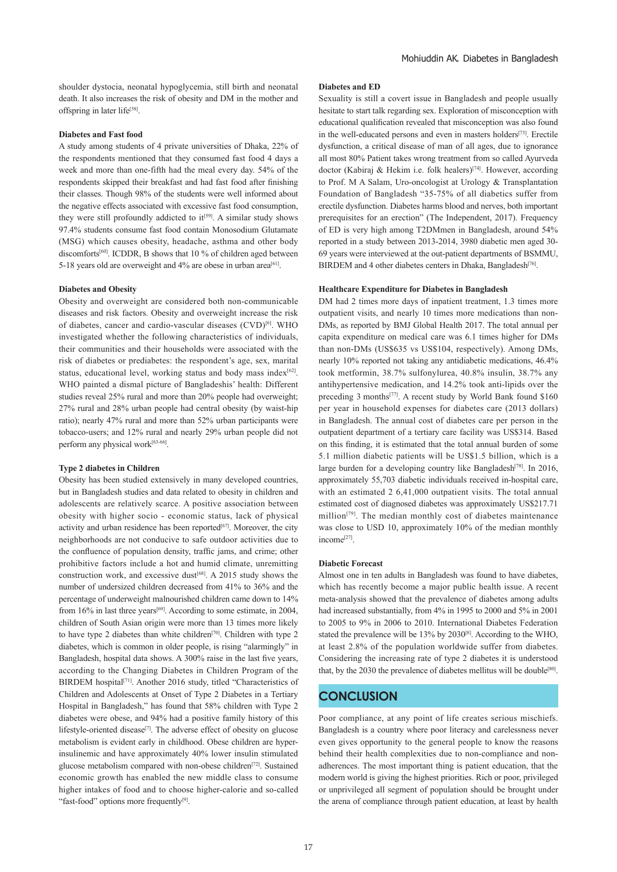shoulder dystocia, neonatal hypoglycemia, still birth and neonatal death. It also increases the risk of obesity and DM in the mother and offspring in later life<sup>[58]</sup>.

#### **Diabetes and Fast food**

A study among students of 4 private universities of Dhaka, 22% of the respondents mentioned that they consumed fast food 4 days a week and more than one-fifth had the meal every day. 54% of the respondents skipped their breakfast and had fast food after finishing their classes. Though 98% of the students were well informed about the negative effects associated with excessive fast food consumption, they were still profoundly addicted to it<sup>[59]</sup>. A similar study shows 97.4% students consume fast food contain Monosodium Glutamate (MSG) which causes obesity, headache, asthma and other body discomforts<sup>[60]</sup>. ICDDR, B shows that 10 % of children aged between 5-18 years old are overweight and 4% are obese in urban area<sup>[61]</sup>.

### **Diabetes and Obesity**

Obesity and overweight are considered both non-communicable diseases and risk factors. Obesity and overweight increase the risk of diabetes, cancer and cardio-vascular diseases (CVD)[6]. WHO investigated whether the following characteristics of individuals, their communities and their households were associated with the risk of diabetes or prediabetes: the respondent's age, sex, marital status, educational level, working status and body mass index $[62]$ . WHO painted a dismal picture of Bangladeshis' health: Different studies reveal 25% rural and more than 20% people had overweight; 27% rural and 28% urban people had central obesity (by waist-hip ratio); nearly 47% rural and more than 52% urban participants were tobacco-users; and 12% rural and nearly 29% urban people did not perform any physical work[63-66].

#### **Type 2 diabetes in Children**

Obesity has been studied extensively in many developed countries, but in Bangladesh studies and data related to obesity in children and adolescents are relatively scarce. A positive association between obesity with higher socio - economic status, lack of physical activity and urban residence has been reported $[67]$ . Moreover, the city neighborhoods are not conducive to safe outdoor activities due to the confluence of population density, traffic jams, and crime; other prohibitive factors include a hot and humid climate, unremitting construction work, and excessive dust<sup>[68]</sup>. A 2015 study shows the number of undersized children decreased from 41% to 36% and the percentage of underweight malnourished children came down to 14% from  $16\%$  in last three years<sup>[69]</sup>. According to some estimate, in 2004, children of South Asian origin were more than 13 times more likely to have type 2 diabetes than white children[70]. Children with type 2 diabetes, which is common in older people, is rising "alarmingly" in Bangladesh, hospital data shows. A 300% raise in the last five years, according to the Changing Diabetes in Children Program of the BIRDEM hospital<sup>[71]</sup>. Another 2016 study, titled "Characteristics of Children and Adolescents at Onset of Type 2 Diabetes in a Tertiary Hospital in Bangladesh," has found that 58% children with Type 2 diabetes were obese, and 94% had a positive family history of this lifestyle-oriented disease<sup>[7]</sup>. The adverse effect of obesity on glucose metabolism is evident early in childhood. Obese children are hyperinsulinemic and have approximately 40% lower insulin stimulated glucose metabolism compared with non-obese children<sup>[72]</sup>. Sustained economic growth has enabled the new middle class to consume higher intakes of food and to choose higher-calorie and so-called "fast-food" options more frequently<sup>[9]</sup>.

### **Diabetes and ED**

Sexuality is still a covert issue in Bangladesh and people usually hesitate to start talk regarding sex. Exploration of misconception with educational qualification revealed that misconception was also found in the well-educated persons and even in masters holders<sup>[73]</sup>. Erectile dysfunction, a critical disease of man of all ages, due to ignorance all most 80% Patient takes wrong treatment from so called Ayurveda doctor (Kabiraj & Hekim i.e. folk healers)[74]. However, according to Prof. M A Salam, Uro-oncologist at Urology & Transplantation Foundation of Bangladesh "35-75% of all diabetics suffer from erectile dysfunction. Diabetes harms blood and nerves, both important prerequisites for an erection" (The Independent, 2017). Frequency of ED is very high among T2DMmen in Bangladesh, around 54% reported in a study between 2013-2014, 3980 diabetic men aged 30- 69 years were interviewed at the out-patient departments of BSMMU, BIRDEM and 4 other diabetes centers in Dhaka, Bangladesh<sup>[76]</sup>.

#### **Healthcare Expenditure for Diabetes in Bangladesh**

DM had 2 times more days of inpatient treatment, 1.3 times more outpatient visits, and nearly 10 times more medications than non-DMs, as reported by BMJ Global Health 2017. The total annual per capita expenditure on medical care was 6.1 times higher for DMs than non-DMs (US\$635 vs US\$104, respectively). Among DMs, nearly 10% reported not taking any antidiabetic medications, 46.4% took metformin, 38.7% sulfonylurea, 40.8% insulin, 38.7% any antihypertensive medication, and 14.2% took anti-lipids over the preceding 3 months<sup>[77]</sup>. A recent study by World Bank found \$160 per year in household expenses for diabetes care (2013 dollars) in Bangladesh. The annual cost of diabetes care per person in the outpatient department of a tertiary care facility was US\$314. Based on this finding, it is estimated that the total annual burden of some 5.1 million diabetic patients will be US\$1.5 billion, which is a large burden for a developing country like Bangladesh<sup>[78]</sup>. In 2016, approximately 55,703 diabetic individuals received in-hospital care, with an estimated 2 6,41,000 outpatient visits. The total annual estimated cost of diagnosed diabetes was approximately US\$217.71 million<sup>[79]</sup>. The median monthly cost of diabetes maintenance was close to USD 10, approximately 10% of the median monthly income[27].

#### **Diabetic Forecast**

Almost one in ten adults in Bangladesh was found to have diabetes, which has recently become a major public health issue. A recent meta-analysis showed that the prevalence of diabetes among adults had increased substantially, from 4% in 1995 to 2000 and 5% in 2001 to 2005 to 9% in 2006 to 2010. International Diabetes Federation stated the prevalence will be 13% by 2030<sup>[8]</sup>. According to the WHO, at least 2.8% of the population worldwide suffer from diabetes. Considering the increasing rate of type 2 diabetes it is understood that, by the 2030 the prevalence of diabetes mellitus will be double<sup>[80]</sup>.

# **CONCLUSION**

Poor compliance, at any point of life creates serious mischiefs. Bangladesh is a country where poor literacy and carelessness never even gives opportunity to the general people to know the reasons behind their health complexities due to non-compliance and nonadherences. The most important thing is patient education, that the modern world is giving the highest priorities. Rich or poor, privileged or unprivileged all segment of population should be brought under the arena of compliance through patient education, at least by health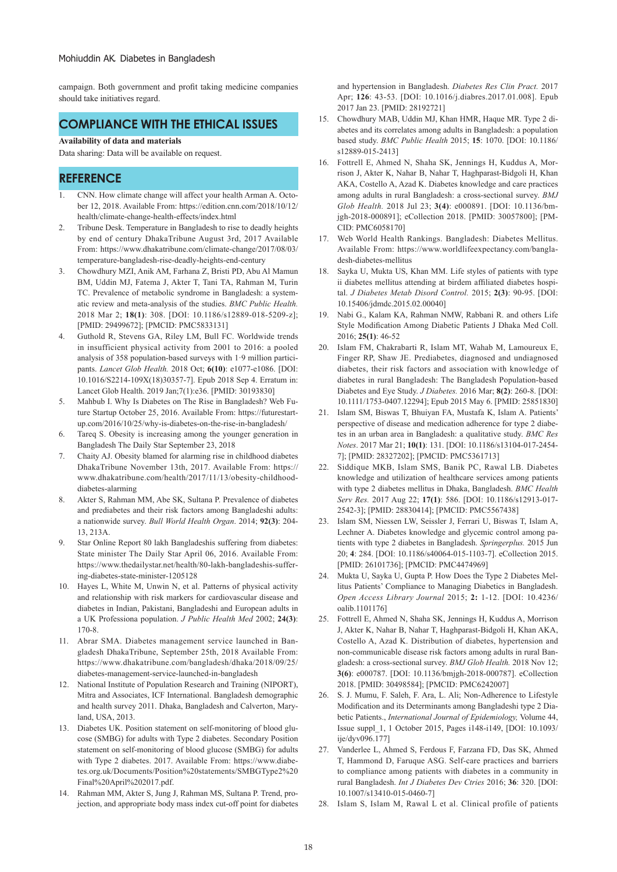campaign. Both government and profit taking medicine companies should take initiatives regard.

# **COMPLIANCE WITH THE ETHICAL ISSUES**

### **Availability of data and materials**

Data sharing: Data will be available on request.

# **REFERENCE**

- 1. CNN. How climate change will affect your health Arman A. October 12, 2018. Available From: https://edition.cnn.com/2018/10/12/ health/climate-change-health-effects/index.html
- 2. Tribune Desk. Temperature in Bangladesh to rise to deadly heights by end of century DhakaTribune August 3rd, 2017 Available From: https://www.dhakatribune.com/climate-change/2017/08/03/ temperature-bangladesh-rise-deadly-heights-end-century
- 3. Chowdhury MZI, Anik AM, Farhana Z, Bristi PD, Abu Al Mamun BM, Uddin MJ, Fatema J, Akter T, Tani TA, Rahman M, Turin TC. Prevalence of metabolic syndrome in Bangladesh: a systematic review and meta-analysis of the studies. *BMC Public Health.*  2018 Mar 2; **18(1)**: 308. [DOI: 10.1186/s12889-018-5209-z]; [PMID: 29499672]; [PMCID: PMC5833131]
- 4. Guthold R, Stevens GA, Riley LM, Bull FC. Worldwide trends in insufficient physical activity from 2001 to 2016: a pooled analysis of 358 population-based surveys with 1·9 million participants. *Lancet Glob Health.* 2018 Oct; **6(10)**: e1077-e1086. [DOI: 10.1016/S2214-109X(18)30357-7]. Epub 2018 Sep 4. Erratum in: Lancet Glob Health. 2019 Jan;7(1):e36. [PMID: 30193830]
- 5. Mahbub I. Why Is Diabetes on The Rise in Bangladesh? Web Future Startup October 25, 2016. Available From: https://futurestartup.com/2016/10/25/why-is-diabetes-on-the-rise-in-bangladesh/
- 6. Tareq S. Obesity is increasing among the younger generation in Bangladesh The Daily Star September 23, 2018
- 7. Chaity AJ. Obesity blamed for alarming rise in childhood diabetes DhakaTribune November 13th, 2017. Available From: https:// www.dhakatribune.com/health/2017/11/13/obesity-childhooddiabetes-alarming
- 8. Akter S, Rahman MM, Abe SK, Sultana P. Prevalence of diabetes and prediabetes and their risk factors among Bangladeshi adults: a nationwide survey. *Bull World Health Organ*. 2014; **92(3)**: 204- 13, 213A.
- Star Online Report 80 lakh Bangladeshis suffering from diabetes: State minister The Daily Star April 06, 2016. Available From: https://www.thedailystar.net/health/80-lakh-bangladeshis-suffering-diabetes-state-minister-1205128
- 10. Hayes L, White M, Unwin N, et al. Patterns of physical activity and relationship with risk markers for cardiovascular disease and diabetes in Indian, Pakistani, Bangladeshi and European adults in a UK Professiona population. *J Public Health Med* 2002; **24(3)**: 170-8.
- 11. Abrar SMA. Diabetes management service launched in Bangladesh DhakaTribune, September 25th, 2018 Available From: https://www.dhakatribune.com/bangladesh/dhaka/2018/09/25/ diabetes-management-service-launched-in-bangladesh
- 12. National Institute of Population Research and Training (NIPORT), Mitra and Associates, ICF International. Bangladesh demographic and health survey 2011. Dhaka, Bangladesh and Calverton, Maryland, USA, 2013.
- 13. Diabetes UK. Position statement on self-monitoring of blood glucose (SMBG) for adults with Type 2 diabetes. Secondary Position statement on self-monitoring of blood glucose (SMBG) for adults with Type 2 diabetes. 2017. Available From: https://www.diabetes.org.uk/Documents/Position%20statements/SMBGType2%20 Final%20April%202017.pdf.
- 14. Rahman MM, Akter S, Jung J, Rahman MS, Sultana P. Trend, projection, and appropriate body mass index cut-off point for diabetes

and hypertension in Bangladesh. *Diabetes Res Clin Pract.* 2017 Apr; **126**: 43-53. [DOI: 10.1016/j.diabres.2017.01.008]. Epub 2017 Jan 23. [PMID: 28192721]

- 15. Chowdhury MAB, Uddin MJ, Khan HMR, Haque MR. Type 2 diabetes and its correlates among adults in Bangladesh: a population based study. *BMC Public Health* 2015; **15**: 1070. [DOI: 10.1186/ s12889-015-2413]
- 16. Fottrell E, Ahmed N, Shaha SK, Jennings H, Kuddus A, Morrison J, Akter K, Nahar B, Nahar T, Haghparast-Bidgoli H, Khan AKA, Costello A, Azad K. Diabetes knowledge and care practices among adults in rural Bangladesh: a cross-sectional survey. *BMJ Glob Health.* 2018 Jul 23; **3(4)**: e000891. [DOI: 10.1136/bmjgh-2018-000891]; eCollection 2018. [PMID: 30057800]; [PM-CID: PMC6058170]
- 17. Web World Health Rankings. Bangladesh: Diabetes Mellitus. Available From: https://www.worldlifeexpectancy.com/bangladesh-diabetes-mellitus
- 18. Sayka U, Mukta US, Khan MM. Life styles of patients with type ii diabetes mellitus attending at birdem affiliated diabetes hospital. *J Diabetes Metab Disord Control.* 2015; **2(3)**: 90-95. [DOI: 10.15406/jdmdc.2015.02.00040]
- 19. Nabi G., Kalam KA, Rahman NMW, Rabbani R. and others Life Style Modification Among Diabetic Patients J Dhaka Med Coll. 2016; **25(1)**: 46-52
- 20. Islam FM, Chakrabarti R, Islam MT, Wahab M, Lamoureux E, Finger RP, Shaw JE. Prediabetes, diagnosed and undiagnosed diabetes, their risk factors and association with knowledge of diabetes in rural Bangladesh: The Bangladesh Population-based Diabetes and Eye Study. *J Diabetes.* 2016 Mar; **8(2)**: 260-8. [DOI: 10.1111/1753-0407.12294]; Epub 2015 May 6. [PMID: 25851830]
- 21. Islam SM, Biswas T, Bhuiyan FA, Mustafa K, Islam A. Patients' perspective of disease and medication adherence for type 2 diabetes in an urban area in Bangladesh: a qualitative study. *BMC Res Notes*. 2017 Mar 21; **10(1)**: 131. [DOI: 10.1186/s13104-017-2454- 7]; [PMID: 28327202]; [PMCID: PMC5361713]
- 22. Siddique MKB, Islam SMS, Banik PC, Rawal LB. Diabetes knowledge and utilization of healthcare services among patients with type 2 diabetes mellitus in Dhaka, Bangladesh. *BMC Health Serv Res.* 2017 Aug 22; **17(1)**: 586. [DOI: 10.1186/s12913-017- 2542-3]; [PMID: 28830414]; [PMCID: PMC5567438]
- 23. Islam SM, Niessen LW, Seissler J, Ferrari U, Biswas T, Islam A, Lechner A. Diabetes knowledge and glycemic control among patients with type 2 diabetes in Bangladesh. *Springerplus.* 2015 Jun 20; **4**: 284. [DOI: 10.1186/s40064-015-1103-7]. eCollection 2015. [PMID: 26101736]; [PMCID: PMC4474969]
- 24. Mukta U, Sayka U, Gupta P. How Does the Type 2 Diabetes Mellitus Patients' Compliance to Managing Diabetics in Bangladesh. *Open Access Library Journal* 2015; **2:** 1-12. [DOI: 10.4236/ oalib.1101176]
- 25. Fottrell E, Ahmed N, Shaha SK, Jennings H, Kuddus A, Morrison J, Akter K, Nahar B, Nahar T, Haghparast-Bidgoli H, Khan AKA, Costello A, Azad K. Distribution of diabetes, hypertension and non-communicable disease risk factors among adults in rural Bangladesh: a cross-sectional survey. *BMJ Glob Health.* 2018 Nov 12; **3(6)**: e000787. [DOI: 10.1136/bmjgh-2018-000787]. eCollection 2018. [PMID: 30498584]; [PMCID: PMC6242007]
- 26. S. J. Mumu, F. Saleh, F. Ara, L. Ali; Non-Adherence to Lifestyle Modification and its Determinants among Bangladeshi type 2 Diabetic Patients., *International Journal of Epidemiology,* Volume 44, Issue suppl\_1, 1 October 2015, Pages i148-i149, [DOI: 10.1093/ ije/dyv096.1771
- 27. Vanderlee L, Ahmed S, Ferdous F, Farzana FD, Das SK, Ahmed T, Hammond D, Faruque ASG. Self-care practices and barriers to compliance among patients with diabetes in a community in rural Bangladesh. *Int J Diabetes Dev Ctries* 2016; **36**: 320. [DOI: 10.1007/s13410-015-0460-7]
- 28. Islam S, Islam M, Rawal L et al. Clinical profile of patients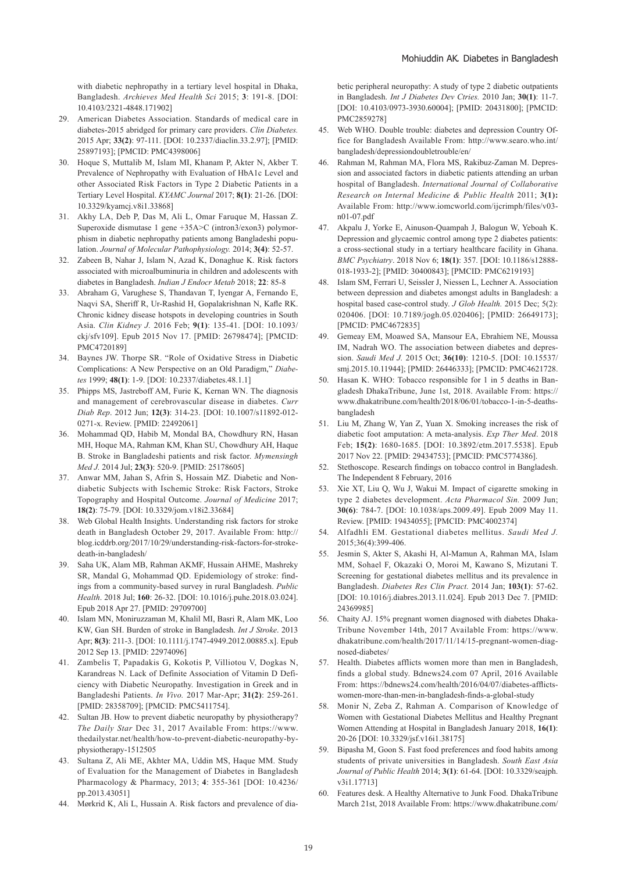with diabetic nephropathy in a tertiary level hospital in Dhaka, Bangladesh. *Archieves Med Health Sci* 2015; **3**: 191-8. [DOI: 10.4103/2321-4848.171902]

- 29. American Diabetes Association. Standards of medical care in diabetes-2015 abridged for primary care providers. *Clin Diabetes.*  2015 Apr; **33(2)**: 97-111. [DOI: 10.2337/diaclin.33.2.97]; [PMID: 25897193]; [PMCID: PMC4398006]
- 30. Hoque S, Muttalib M, Islam MI, Khanam P, Akter N, Akber T. Prevalence of Nephropathy with Evaluation of HbA1c Level and other Associated Risk Factors in Type 2 Diabetic Patients in a Tertiary Level Hospital. *KYAMC Journal* 2017; **8(1)**: 21-26. [DOI: 10.3329/kyamcj.v8i1.33868]
- 31. Akhy LA, Deb P, Das M, Ali L, Omar Faruque M, Hassan Z. Superoxide dismutase 1 gene +35A>C (intron3/exon3) polymorphism in diabetic nephropathy patients among Bangladeshi population. *Journal of Molecular Pathophysiology.* 2014; **3(4)**: 52-57.
- 32. Zabeen B, Nahar J, Islam N, Azad K, Donaghue K. Risk factors associated with microalbuminuria in children and adolescents with diabetes in Bangladesh. *Indian J Endocr Metab* 2018; **22**: 85-8
- 33. Abraham G, Varughese S, Thandavan T, Iyengar A, Fernando E, Naqvi SA, Sheriff R, Ur-Rashid H, Gopalakrishnan N, Kafle RK. Chronic kidney disease hotspots in developing countries in South Asia. *Clin Kidney J.* 2016 Feb; **9(1)**: 135-41. [DOI: 10.1093/ ckj/sfv109]. Epub 2015 Nov 17. [PMID: 26798474]; [PMCID: PMC4720189]
- 34. Baynes JW. Thorpe SR. "Role of Oxidative Stress in Diabetic Complications: A New Perspective on an Old Paradigm," *Diabetes* 1999; **48(1)**: 1-9. [DOI: 10.2337/diabetes.48.1.1]
- 35. Phipps MS, Jastreboff AM, Furie K, Kernan WN. The diagnosis and management of cerebrovascular disease in diabetes. *Curr Diab Rep*. 2012 Jun; **12(3)**: 314-23. [DOI: 10.1007/s11892-012- 0271-x. Review. [PMID: 22492061]
- 36. Mohammad QD, Habib M, Mondal BA, Chowdhury RN, Hasan MH, Hoque MA, Rahman KM, Khan SU, Chowdhury AH, Haque B. Stroke in Bangladeshi patients and risk factor. *Mymensingh Med J.* 2014 Jul; **23(3)**: 520-9. [PMID: 25178605]
- 37. Anwar MM, Jahan S, Afrin S, Hossain MZ. Diabetic and Nondiabetic Subjects with Ischemic Stroke: Risk Factors, Stroke Topography and Hospital Outcome. *Journal of Medicine* 2017; **18(2)**: 75-79. [DOI: 10.3329/jom.v18i2.33684]
- 38. Web Global Health Insights. Understanding risk factors for stroke death in Bangladesh October 29, 2017. Available From: http:// blog.icddrb.org/2017/10/29/understanding-risk-factors-for-strokedeath-in-bangladesh/
- 39. Saha UK, Alam MB, Rahman AKMF, Hussain AHME, Mashreky SR, Mandal G, Mohammad QD. Epidemiology of stroke: findings from a community-based survey in rural Bangladesh. *Public Health*. 2018 Jul; **160**: 26-32. [DOI: 10.1016/j.puhe.2018.03.024]. Epub 2018 Apr 27. [PMID: 29709700]
- 40. Islam MN, Moniruzzaman M, Khalil MI, Basri R, Alam MK, Loo KW, Gan SH. Burden of stroke in Bangladesh. *Int J Stroke*. 2013 Apr; **8(3)**: 211-3. [DOI: 10.1111/j.1747-4949.2012.00885.x]. Epub 2012 Sep 13. [PMID: 22974096]
- 41. Zambelis T, Papadakis G, Kokotis P, Villiotou V, Dogkas N, Karandreas N. Lack of Definite Association of Vitamin D Deficiency with Diabetic Neuropathy. Investigation in Greek and in Bangladeshi Patients. *In Vivo.* 2017 Mar-Apr; **31(2)**: 259-261. [PMID: 28358709]; [PMCID: PMC5411754].
- 42. Sultan JB. How to prevent diabetic neuropathy by physiotherapy? *The Daily Star* Dec 31, 2017 Available From: https://www. thedailystar.net/health/how-to-prevent-diabetic-neuropathy-byphysiotherapy-1512505
- 43. Sultana Z, Ali ME, Akhter MA, Uddin MS, Haque MM. Study of Evaluation for the Management of Diabetes in Bangladesh Pharmacology & Pharmacy, 2013; **4**: 355-361 [DOI: 10.4236/ pp.2013.43051]
- 44. Mørkrid K, Ali L, Hussain A. Risk factors and prevalence of dia-

betic peripheral neuropathy: A study of type 2 diabetic outpatients in Bangladesh. *Int J Diabetes Dev Ctries.* 2010 Jan; **30(1)**: 11-7. [DOI: 10.4103/0973-3930.60004]; [PMID: 20431800]; [PMCID: PMC2859278]

- 45. Web WHO. Double trouble: diabetes and depression Country Office for Bangladesh Available From: http://www.searo.who.int/ bangladesh/depressiondoubletrouble/en/
- 46. Rahman M, Rahman MA, Flora MS, Rakibuz-Zaman M. Depression and associated factors in diabetic patients attending an urban hospital of Bangladesh. *International Journal of Collaborative Research on Internal Medicine & Public Health* 2011; **3(1):** Available From: http://www.iomcworld.com/ijcrimph/files/v03 n01-07.pdf
- 47. Akpalu J, Yorke E, Ainuson-Quampah J, Balogun W, Yeboah K. Depression and glycaemic control among type 2 diabetes patients: a cross-sectional study in a tertiary healthcare facility in Ghana. *BMC Psychiatry*. 2018 Nov 6; **18(1)**: 357. [DOI: 10.1186/s12888- 018-1933-2]; [PMID: 30400843]; [PMCID: PMC6219193]
- 48. Islam SM, Ferrari U, Seissler J, Niessen L, Lechner A. Association between depression and diabetes amongst adults in Bangladesh: a hospital based case-control study. *J Glob Health.* 2015 Dec; 5(2): 020406. [DOI: 10.7189/jogh.05.020406]; [PMID: 26649173]; [PMCID: PMC4672835]
- 49. Gemeay EM, Moawed SA, Mansour EA, Ebrahiem NE, Moussa IM, Nadrah WO. The association between diabetes and depression. *Saudi Med J.* 2015 Oct; **36(10)**: 1210-5. [DOI: 10.15537/ smj.2015.10.11944]; [PMID: 26446333]; [PMCID: PMC4621728.
- 50. Hasan K. WHO: Tobacco responsible for 1 in 5 deaths in Bangladesh DhakaTribune, June 1st, 2018. Available From: https:// www.dhakatribune.com/health/2018/06/01/tobacco-1-in-5-deathsbangladesh
- 51. Liu M, Zhang W, Yan Z, Yuan X. Smoking increases the risk of diabetic foot amputation: A meta-analysis. *Exp Ther Med*. 2018 Feb; **15(2)**: 1680-1685. [DOI: 10.3892/etm.2017.5538]. Epub 2017 Nov 22. [PMID: 29434753]; [PMCID: PMC5774386].
- 52. Stethoscope. Research findings on tobacco control in Bangladesh. The Independent 8 February, 2016
- 53. Xie XT, Liu Q, Wu J, Wakui M. Impact of cigarette smoking in type 2 diabetes development. *Acta Pharmacol Sin.* 2009 Jun; **30(6)**: 784-7. [DOI: 10.1038/aps.2009.49]. Epub 2009 May 11. Review. [PMID: 19434055]; [PMCID: PMC4002374]
- 54. Alfadhli EM. Gestational diabetes mellitus. *Saudi Med J.*  2015;36(4):399-406.
- 55. Jesmin S, Akter S, Akashi H, Al-Mamun A, Rahman MA, Islam MM, Sohael F, Okazaki O, Moroi M, Kawano S, Mizutani T. Screening for gestational diabetes mellitus and its prevalence in Bangladesh. *Diabetes Res Clin Pract.* 2014 Jan; **103(1)**: 57-62. [DOI: 10.1016/j.diabres.2013.11.024]. Epub 2013 Dec 7. [PMID: 24369985]
- 56. Chaity AJ. 15% pregnant women diagnosed with diabetes Dhaka-Tribune November 14th, 2017 Available From: https://www. dhakatribune.com/health/2017/11/14/15-pregnant-women-diagnosed-diabetes/
- 57. Health. Diabetes afflicts women more than men in Bangladesh, finds a global study. Bdnews24.com 07 April, 2016 Available From: https://bdnews24.com/health/2016/04/07/diabetes-afflictswomen-more-than-men-in-bangladesh-finds-a-global-study
- 58. Monir N, Zeba Z, Rahman A. Comparison of Knowledge of Women with Gestational Diabetes Mellitus and Healthy Pregnant Women Attending at Hospital in Bangladesh January 2018, **16(1)**: 20-26 [DOI: 10.3329/jsf.v16i1.38175]
- 59. Bipasha M, Goon S. Fast food preferences and food habits among students of private universities in Bangladesh. *South East Asia Journal of Public Health* 2014; **3(1)**: 61-64. [DOI: 10.3329/seajph. v3i1.17713]
- Features desk. A Healthy Alternative to Junk Food. DhakaTribune March 21st, 2018 Available From: https://www.dhakatribune.com/